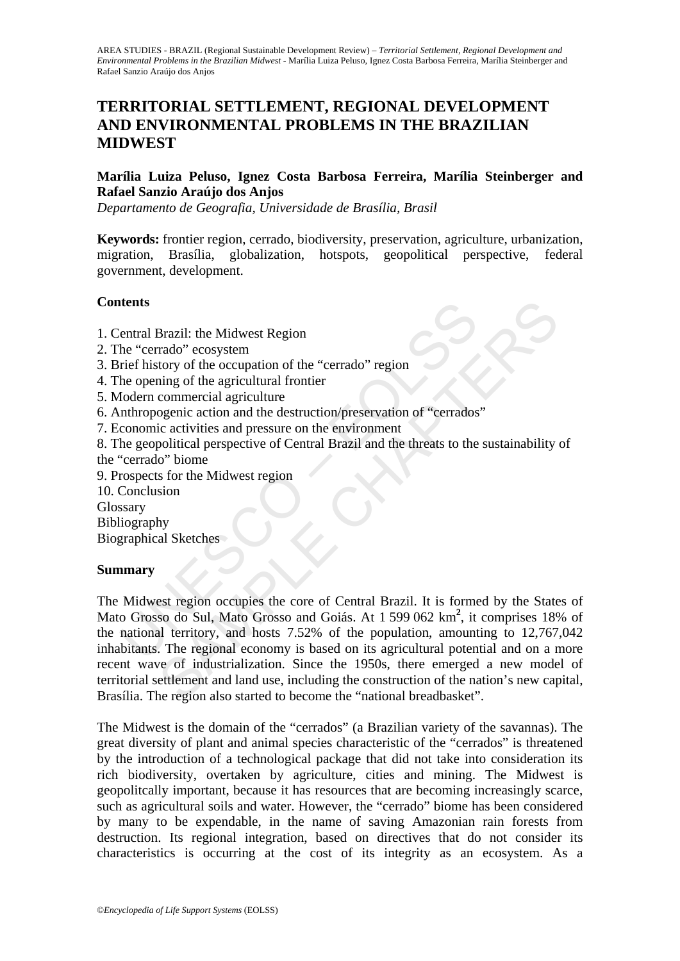## **TERRITORIAL SETTLEMENT, REGIONAL DEVELOPMENT AND ENVIRONMENTAL PROBLEMS IN THE BRAZILIAN MIDWEST**

#### **Marília Luiza Peluso, Ignez Costa Barbosa Ferreira, Marília Steinberger and Rafael Sanzio Araújo dos Anjos**

*Departamento de Geografia, Universidade de Brasília, Brasil* 

**Keywords:** frontier region, cerrado, biodiversity, preservation, agriculture, urbanization, migration, Brasília, globalization, hotspots, geopolitical perspective, federal government, development.

#### **Contents**

- 1. Central Brazil: the Midwest Region
- 2. The "cerrado" ecosystem
- 3. Brief history of the occupation of the "cerrado" region
- 4. The opening of the agricultural frontier
- 5. Modern commercial agriculture
- 6. Anthropogenic action and the destruction/preservation of "cerrados"
- 7. Economic activities and pressure on the environment

8. The geopolitical perspective of Central Brazil and the threats to the sustainability of the "cerrado" biome

9. Prospects for the Midwest region

10. Conclusion

Glossary

Bibliography

Biographical Sketches

#### **Summary**

**Example 18**<br> **Example 18**<br> **Example 18**<br> **Example 18**<br> **Example 18**<br> **Example 18**<br> **Example 18**<br> **Example 18**<br> **Example 18**<br> **Example 18**<br> **Example 18**<br> **Example 18**<br> **Example 18**<br> **Example 18**<br> **Example 18**<br> **Example 18** Brazil: the Midwest Region<br>
arado" ecosystem<br>
rado" ecosystem<br>
into gothe agricultural frontier<br>
commercial agriculture<br>
commercial agriculture<br>
commercial agriculture<br>
openic action and the destruction/preservation of "c The Midwest region occupies the core of Central Brazil. It is formed by the States of Mato Grosso do Sul, Mato Grosso and Goiás. At 1 599 062 km**<sup>2</sup>** , it comprises 18% of the national territory, and hosts 7.52% of the population, amounting to 12,767,042 inhabitants. The regional economy is based on its agricultural potential and on a more recent wave of industrialization. Since the 1950s, there emerged a new model of territorial settlement and land use, including the construction of the nation's new capital, Brasília. The region also started to become the "national breadbasket".

The Midwest is the domain of the "cerrados" (a Brazilian variety of the savannas). The great diversity of plant and animal species characteristic of the "cerrados" is threatened by the introduction of a technological package that did not take into consideration its rich biodiversity, overtaken by agriculture, cities and mining. The Midwest is geopolitcally important, because it has resources that are becoming increasingly scarce, such as agricultural soils and water. However, the "cerrado" biome has been considered by many to be expendable, in the name of saving Amazonian rain forests from destruction. Its regional integration, based on directives that do not consider its characteristics is occurring at the cost of its integrity as an ecosystem. As a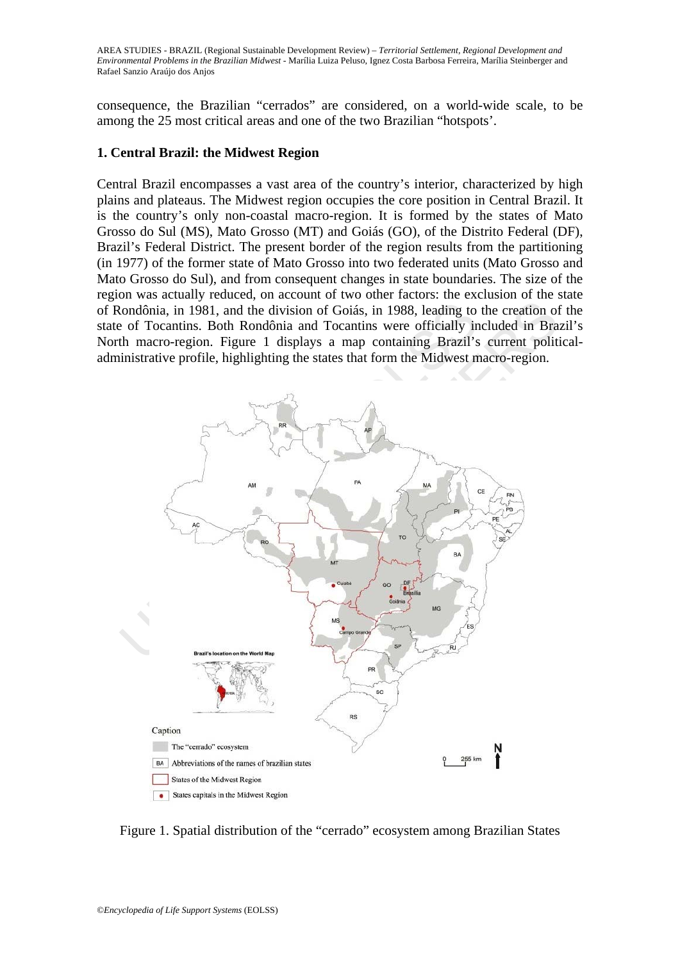consequence, the Brazilian "cerrados" are considered, on a world-wide scale, to be among the 25 most critical areas and one of the two Brazilian "hotspots'.

#### **1. Central Brazil: the Midwest Region**

Central Brazil encompasses a vast area of the country's interior, characterized by high plains and plateaus. The Midwest region occupies the core position in Central Brazil. It is the country's only non-coastal macro-region. It is formed by the states of Mato Grosso do Sul (MS), Mato Grosso (MT) and Goiás (GO), of the Distrito Federal (DF), Brazil's Federal District. The present border of the region results from the partitioning (in 1977) of the former state of Mato Grosso into two federated units (Mato Grosso and Mato Grosso do Sul), and from consequent changes in state boundaries. The size of the region was actually reduced, on account of two other factors: the exclusion of the state of Rondônia, in 1981, and the division of Goiás, in 1988, leading to the creation of the state of Tocantins. Both Rondônia and Tocantins were officially included in Brazil's North macro-region. Figure 1 displays a map containing Brazil's current politicaladministrative profile, highlighting the states that form the Midwest macro-region.



Figure 1. Spatial distribution of the "cerrado" ecosystem among Brazilian States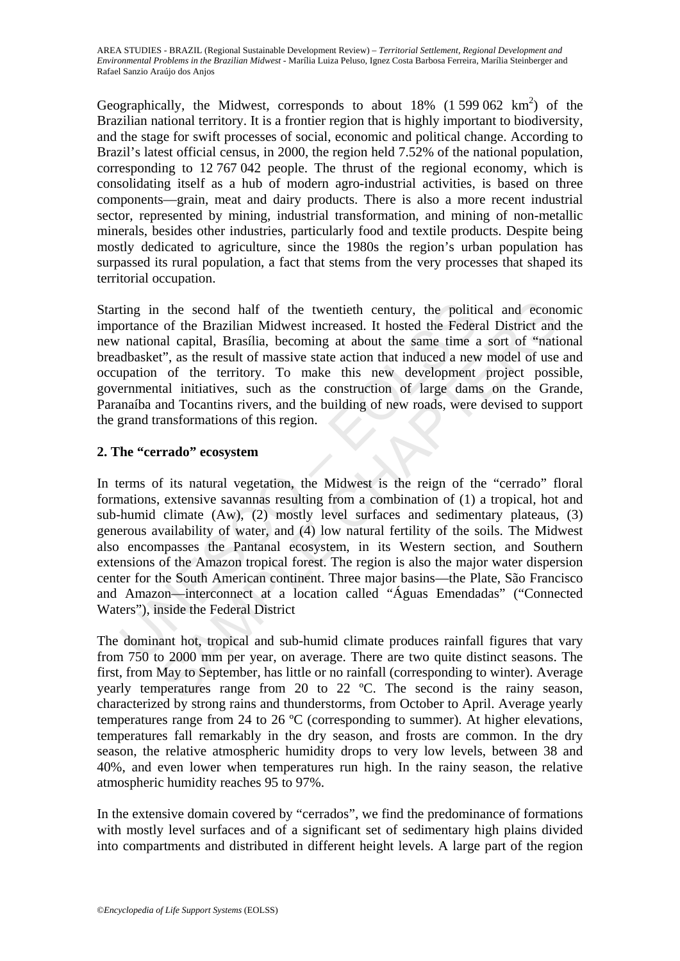Geographically, the Midwest, corresponds to about  $18\%$  (1 599 062 km<sup>2</sup>) of the Brazilian national territory. It is a frontier region that is highly important to biodiversity, and the stage for swift processes of social, economic and political change. According to Brazil's latest official census, in 2000, the region held 7.52% of the national population, corresponding to 12 767 042 people. The thrust of the regional economy, which is consolidating itself as a hub of modern agro-industrial activities, is based on three components—grain, meat and dairy products. There is also a more recent industrial sector, represented by mining, industrial transformation, and mining of non-metallic minerals, besides other industries, particularly food and textile products. Despite being mostly dedicated to agriculture, since the 1980s the region's urban population has surpassed its rural population, a fact that stems from the very processes that shaped its territorial occupation.

Starting in the second half of the twentieth century, the political and economic importance of the Brazilian Midwest increased. It hosted the Federal District and the new national capital, Brasília, becoming at about the same time a sort of "national breadbasket", as the result of massive state action that induced a new model of use and occupation of the territory. To make this new development project possible, governmental initiatives, such as the construction of large dams on the Grande, Paranaíba and Tocantins rivers, and the building of new roads, were devised to support the grand transformations of this region.

### **2. The "cerrado" ecosystem**

ting in the second half of the twentieth century, the polition<br>ortance of the Brazilian Midwest increased. It hosted the Feder<br>national capital, Brasília, becoming at about the same time a<br>dbasket", as the result of massiv 1 the second half of the twentieth century, the political and econc<br>of the Brazilian Midwest increased. It hosted the Federal District and<br>al capital, Brasilia, becoming at about the same time a sort of "nati<br>rt", as the r In terms of its natural vegetation, the Midwest is the reign of the "cerrado" floral formations, extensive savannas resulting from a combination of (1) a tropical, hot and sub-humid climate (Aw), (2) mostly level surfaces and sedimentary plateaus, (3) generous availability of water, and (4) low natural fertility of the soils. The Midwest also encompasses the Pantanal ecosystem, in its Western section, and Southern extensions of the Amazon tropical forest. The region is also the major water dispersion center for the South American continent. Three major basins—the Plate, São Francisco and Amazon—interconnect at a location called "Águas Emendadas" ("Connected Waters"), inside the Federal District

The dominant hot, tropical and sub-humid climate produces rainfall figures that vary from 750 to 2000 mm per year, on average. There are two quite distinct seasons. The first, from May to September, has little or no rainfall (corresponding to winter). Average yearly temperatures range from 20 to 22 ºC. The second is the rainy season, characterized by strong rains and thunderstorms, from October to April. Average yearly temperatures range from 24 to 26 ºC (corresponding to summer). At higher elevations, temperatures fall remarkably in the dry season, and frosts are common. In the dry season, the relative atmospheric humidity drops to very low levels, between 38 and 40%, and even lower when temperatures run high. In the rainy season, the relative atmospheric humidity reaches 95 to 97%.

In the extensive domain covered by "cerrados", we find the predominance of formations with mostly level surfaces and of a significant set of sedimentary high plains divided into compartments and distributed in different height levels. A large part of the region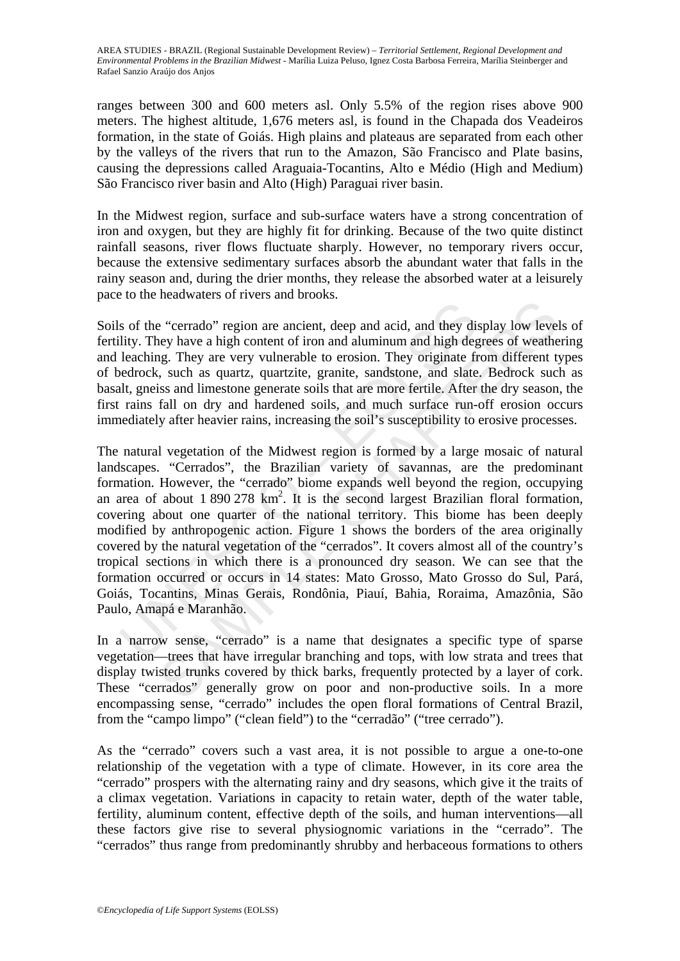ranges between 300 and 600 meters asl. Only 5.5% of the region rises above 900 meters. The highest altitude, 1,676 meters asl, is found in the Chapada dos Veadeiros formation, in the state of Goiás. High plains and plateaus are separated from each other by the valleys of the rivers that run to the Amazon, São Francisco and Plate basins, causing the depressions called Araguaia-Tocantins, Alto e Médio (High and Medium) São Francisco river basin and Alto (High) Paraguai river basin.

In the Midwest region, surface and sub-surface waters have a strong concentration of iron and oxygen, but they are highly fit for drinking. Because of the two quite distinct rainfall seasons, river flows fluctuate sharply. However, no temporary rivers occur, because the extensive sedimentary surfaces absorb the abundant water that falls in the rainy season and, during the drier months, they release the absorbed water at a leisurely pace to the headwaters of rivers and brooks.

Soils of the "cerrado" region are ancient, deep and acid, and they display low levels of fertility. They have a high content of iron and aluminum and high degrees of weathering and leaching. They are very vulnerable to erosion. They originate from different types of bedrock, such as quartz, quartzite, granite, sandstone, and slate. Bedrock such as basalt, gneiss and limestone generate soils that are more fertile. After the dry season, the first rains fall on dry and hardened soils, and much surface run-off erosion occurs immediately after heavier rains, increasing the soil's susceptibility to erosive processes.

s of the "cerrado" region are ancient, deep and acid, and they dity. They have a high content of iron and aluminum and high degeachrock, such as quartz, quartzite, granite, sandstone, and slate endrock, such as quartz, qua maximum services that there are and acid, and they display low level<br>ey "cerrado" region are ancient, deep and acid, and they display low level<br>eg. They are very vulnerable to erosion. They originate from different t<br>, su The natural vegetation of the Midwest region is formed by a large mosaic of natural landscapes. "Cerrados", the Brazilian variety of savannas, are the predominant formation. However, the "cerrado" biome expands well beyond the region, occupying an area of about 1 890 278 km<sup>2</sup>. It is the second largest Brazilian floral formation, covering about one quarter of the national territory. This biome has been deeply modified by anthropogenic action. Figure 1 shows the borders of the area originally covered by the natural vegetation of the "cerrados". It covers almost all of the country's tropical sections in which there is a pronounced dry season. We can see that the formation occurred or occurs in 14 states: Mato Grosso, Mato Grosso do Sul, Pará, Goiás, Tocantins, Minas Gerais, Rondônia, Piauí, Bahia, Roraima, Amazônia, São Paulo, Amapá e Maranhão.

In a narrow sense, "cerrado" is a name that designates a specific type of sparse vegetation—trees that have irregular branching and tops, with low strata and trees that display twisted trunks covered by thick barks, frequently protected by a layer of cork. These "cerrados" generally grow on poor and non-productive soils. In a more encompassing sense, "cerrado" includes the open floral formations of Central Brazil, from the "campo limpo" ("clean field") to the "cerradão" ("tree cerrado").

As the "cerrado" covers such a vast area, it is not possible to argue a one-to-one relationship of the vegetation with a type of climate. However, in its core area the "cerrado" prospers with the alternating rainy and dry seasons, which give it the traits of a climax vegetation. Variations in capacity to retain water, depth of the water table, fertility, aluminum content, effective depth of the soils, and human interventions—all these factors give rise to several physiognomic variations in the "cerrado". The "cerrados" thus range from predominantly shrubby and herbaceous formations to others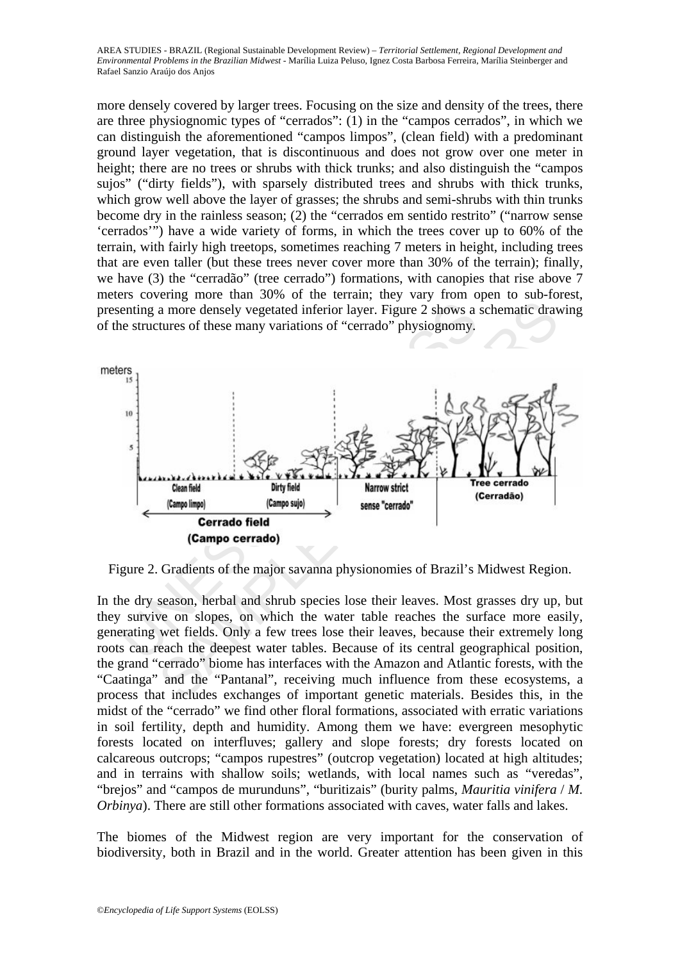more densely covered by larger trees. Focusing on the size and density of the trees, there are three physiognomic types of "cerrados": (1) in the "campos cerrados", in which we can distinguish the aforementioned "campos limpos", (clean field) with a predominant ground layer vegetation, that is discontinuous and does not grow over one meter in height; there are no trees or shrubs with thick trunks; and also distinguish the "campos sujos" ("dirty fields"), with sparsely distributed trees and shrubs with thick trunks, which grow well above the layer of grasses; the shrubs and semi-shrubs with thin trunks become dry in the rainless season; (2) the "cerrados em sentido restrito" ("narrow sense 'cerrados'") have a wide variety of forms, in which the trees cover up to 60% of the terrain, with fairly high treetops, sometimes reaching 7 meters in height, including trees that are even taller (but these trees never cover more than 30% of the terrain); finally, we have (3) the "cerradão" (tree cerrado") formations, with canopies that rise above 7 meters covering more than 30% of the terrain; they vary from open to sub-forest, presenting a more densely vegetated inferior layer. Figure 2 shows a schematic drawing of the structures of these many variations of "cerrado" physiognomy.



Figure 2. Gradients of the major savanna physionomies of Brazil's Midwest Region.

In the dry season, herbal and shrub species lose their leaves. Most grasses dry up, but they survive on slopes, on which the water table reaches the surface more easily, generating wet fields. Only a few trees lose their leaves, because their extremely long roots can reach the deepest water tables. Because of its central geographical position, the grand "cerrado" biome has interfaces with the Amazon and Atlantic forests, with the "Caatinga" and the "Pantanal", receiving much influence from these ecosystems, a process that includes exchanges of important genetic materials. Besides this, in the midst of the "cerrado" we find other floral formations, associated with erratic variations in soil fertility, depth and humidity. Among them we have: evergreen mesophytic forests located on interfluves; gallery and slope forests; dry forests located on calcareous outcrops; "campos rupestres" (outcrop vegetation) located at high altitudes; and in terrains with shallow soils; wetlands, with local names such as "veredas", "brejos" and "campos de murunduns", "buritizais" (burity palms, *Mauritia vinifera* / *M. Orbinya*). There are still other formations associated with caves, water falls and lakes.

The biomes of the Midwest region are very important for the conservation of biodiversity, both in Brazil and in the world. Greater attention has been given in this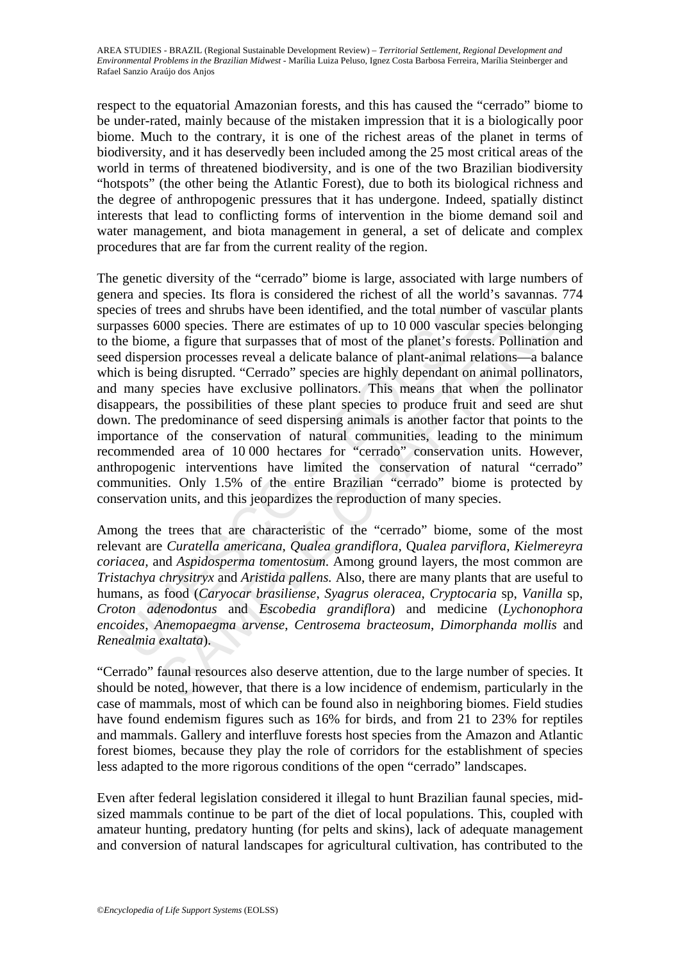respect to the equatorial Amazonian forests, and this has caused the "cerrado" biome to be under-rated, mainly because of the mistaken impression that it is a biologically poor biome. Much to the contrary, it is one of the richest areas of the planet in terms of biodiversity, and it has deservedly been included among the 25 most critical areas of the world in terms of threatened biodiversity, and is one of the two Brazilian biodiversity "hotspots" (the other being the Atlantic Forest), due to both its biological richness and the degree of anthropogenic pressures that it has undergone. Indeed, spatially distinct interests that lead to conflicting forms of intervention in the biome demand soil and water management, and biota management in general, a set of delicate and complex procedures that are far from the current reality of the region.

ies of trees and shrubs have been identified, and the total number<br>asses 6000 species. There are estimates of up to 10 000 vascular<br>ne biome, a figure that surpasses that of most of the planet's fores<br>dispersion processes trees and shrubs have been identified, and the total number of vascular pl<br>trees and shrubs have been identified, and the total number of vascular pl<br>6000 species. There are estimates of up to 10 000 vascular species belon The genetic diversity of the "cerrado" biome is large, associated with large numbers of genera and species. Its flora is considered the richest of all the world's savannas. 774 species of trees and shrubs have been identified, and the total number of vascular plants surpasses 6000 species. There are estimates of up to 10 000 vascular species belonging to the biome, a figure that surpasses that of most of the planet's forests. Pollination and seed dispersion processes reveal a delicate balance of plant-animal relations—a balance which is being disrupted. "Cerrado" species are highly dependant on animal pollinators, and many species have exclusive pollinators. This means that when the pollinator disappears, the possibilities of these plant species to produce fruit and seed are shut down. The predominance of seed dispersing animals is another factor that points to the importance of the conservation of natural communities, leading to the minimum recommended area of 10 000 hectares for "cerrado" conservation units. However, anthropogenic interventions have limited the conservation of natural "cerrado" communities. Only 1.5% of the entire Brazilian "cerrado" biome is protected by conservation units, and this jeopardizes the reproduction of many species.

Among the trees that are characteristic of the "cerrado" biome, some of the most relevant are *Curatella americana*, *Qualea grandiflora,* Q*ualea parviflora*, *Kielmereyra coriacea,* and *Aspidosperma tomentosum*. Among ground layers, the most common are *Tristachya chrysitryx* and *Aristida pallens.* Also, there are many plants that are useful to humans, as food (*Caryocar brasiliense*, *Syagrus oleracea*, *Cryptocaria* sp, *Vanilla* sp, *Croton adenodontus* and *Escobedia grandiflora*) and medicine (*Lychonophora encoides*, *Anemopaegma arvense*, *Centrosema bracteosum*, *Dimorphanda mollis* and *Renealmia exaltata*).

"Cerrado" faunal resources also deserve attention, due to the large number of species. It should be noted, however, that there is a low incidence of endemism, particularly in the case of mammals, most of which can be found also in neighboring biomes. Field studies have found endemism figures such as 16% for birds, and from 21 to 23% for reptiles and mammals. Gallery and interfluve forests host species from the Amazon and Atlantic forest biomes, because they play the role of corridors for the establishment of species less adapted to the more rigorous conditions of the open "cerrado" landscapes.

Even after federal legislation considered it illegal to hunt Brazilian faunal species, midsized mammals continue to be part of the diet of local populations. This, coupled with amateur hunting, predatory hunting (for pelts and skins), lack of adequate management and conversion of natural landscapes for agricultural cultivation, has contributed to the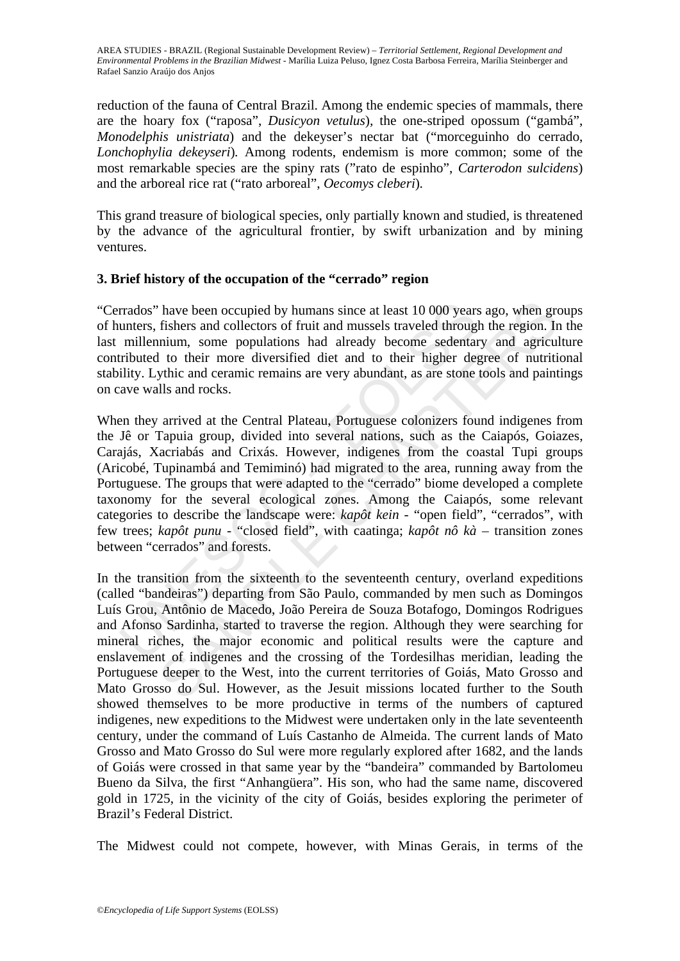reduction of the fauna of Central Brazil. Among the endemic species of mammals, there are the hoary fox ("raposa", *Dusicyon vetulus*)*,* the one-striped opossum ("gambá", *Monodelphis unistriata*) and the dekeyser's nectar bat ("morceguinho do cerrado, *Lonchophylia dekeyseri*)*.* Among rodents, endemism is more common; some of the most remarkable species are the spiny rats ("rato de espinho", *Carterodon sulcidens*) and the arboreal rice rat ("rato arboreal", *Oecomys cleberi*)*.*

This grand treasure of biological species, only partially known and studied, is threatened by the advance of the agricultural frontier, by swift urbanization and by mining ventures.

### **3. Brief history of the occupation of the "cerrado" region**

"Cerrados" have been occupied by humans since at least 10 000 years ago, when groups of hunters, fishers and collectors of fruit and mussels traveled through the region. In the last millennium, some populations had already become sedentary and agriculture contributed to their more diversified diet and to their higher degree of nutritional stability. Lythic and ceramic remains are very abundant, as are stone tools and paintings on cave walls and rocks.

rrados" have been occupied by humans since at least 10 000 years<br>unters, fishers and collectors of fruit and mussels traveled through<br>millennium, some populations had already become sedentar<br>ributed to their more diversif Theorem occupied by humans since at least 10 000 years ago, when gr<br>fishers and collectors of fruit and mussels traveled through the region. In<br>this more populations had already become sedentary and agriculation,<br>In to th When they arrived at the Central Plateau, Portuguese colonizers found indigenes from the Jê or Tapuia group, divided into several nations, such as the Caiapós, Goiazes, Carajás, Xacriabás and Crixás. However, indigenes from the coastal Tupi groups (Aricobé, Tupinambá and Temiminó) had migrated to the area, running away from the Portuguese. The groups that were adapted to the "cerrado" biome developed a complete taxonomy for the several ecological zones. Among the Caiapós, some relevant categories to describe the landscape were: *kapôt kein* - "open field", "cerrados", with few trees; *kapôt punu -* "closed field", with caatinga; *kapôt nô kà –* transition zones between "cerrados" and forests.

In the transition from the sixteenth to the seventeenth century, overland expeditions (called "bandeiras") departing from São Paulo, commanded by men such as Domingos Luís Grou, Antônio de Macedo, João Pereira de Souza Botafogo, Domingos Rodrigues and Afonso Sardinha, started to traverse the region. Although they were searching for mineral riches, the major economic and political results were the capture and enslavement of indigenes and the crossing of the Tordesilhas meridian, leading the Portuguese deeper to the West, into the current territories of Goiás, Mato Grosso and Mato Grosso do Sul. However, as the Jesuit missions located further to the South showed themselves to be more productive in terms of the numbers of captured indigenes, new expeditions to the Midwest were undertaken only in the late seventeenth century, under the command of Luís Castanho de Almeida. The current lands of Mato Grosso and Mato Grosso do Sul were more regularly explored after 1682, and the lands of Goiás were crossed in that same year by the "bandeira" commanded by Bartolomeu Bueno da Silva, the first "Anhangüera". His son, who had the same name, discovered gold in 1725, in the vicinity of the city of Goiás, besides exploring the perimeter of Brazil's Federal District.

The Midwest could not compete, however, with Minas Gerais, in terms of the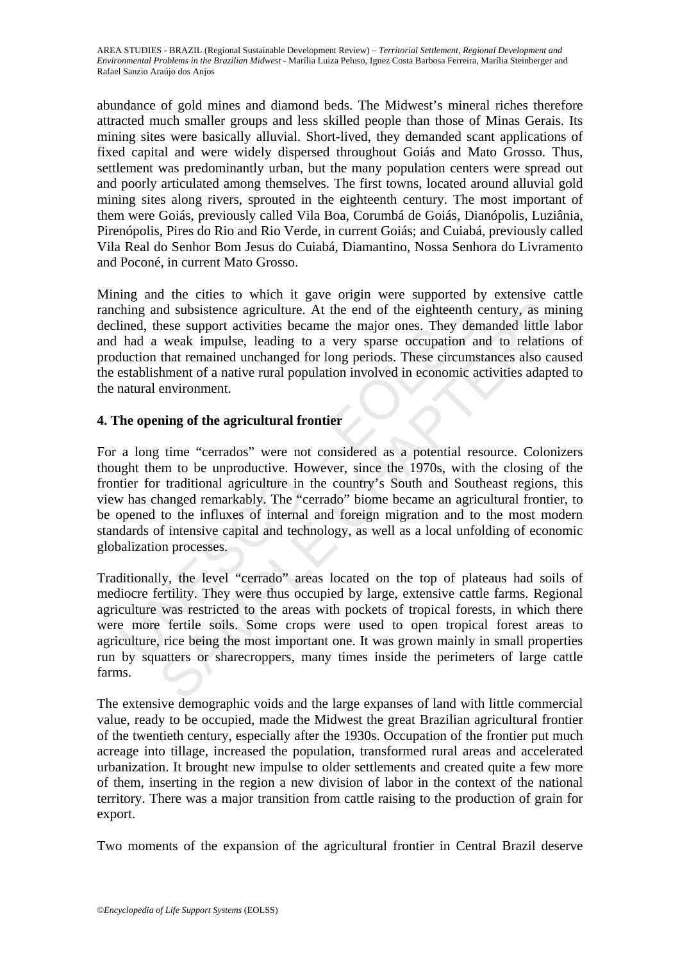abundance of gold mines and diamond beds. The Midwest's mineral riches therefore attracted much smaller groups and less skilled people than those of Minas Gerais. Its mining sites were basically alluvial. Short-lived, they demanded scant applications of fixed capital and were widely dispersed throughout Goiás and Mato Grosso. Thus, settlement was predominantly urban, but the many population centers were spread out and poorly articulated among themselves. The first towns, located around alluvial gold mining sites along rivers, sprouted in the eighteenth century. The most important of them were Goiás, previously called Vila Boa, Corumbá de Goiás, Dianópolis, Luziânia, Pirenópolis, Pires do Rio and Rio Verde, in current Goiás; and Cuiabá, previously called Vila Real do Senhor Bom Jesus do Cuiabá, Diamantino, Nossa Senhora do Livramento and Poconé, in current Mato Grosso.

Mining and the cities to which it gave origin were supported by extensive cattle ranching and subsistence agriculture. At the end of the eighteenth century, as mining declined, these support activities became the major ones. They demanded little labor and had a weak impulse, leading to a very sparse occupation and to relations of production that remained unchanged for long periods. These circumstances also caused the establishment of a native rural population involved in economic activities adapted to the natural environment.

## **4. The opening of the agricultural frontier**

thing and subsistence agriculture. At the end of the eighteenth ined, these support activities became the major ones. They der had a weak impulse, leading to a very sparse occupation a duction that remained unchanged for l and subsistence agriculture. At the end of the eighteenth century, as mindled subsistence agriculture. At the end of the eighteenth century, as mindled in the support activities became the major ones. They demanded little For a long time "cerrados" were not considered as a potential resource. Colonizers thought them to be unproductive. However, since the 1970s, with the closing of the frontier for traditional agriculture in the country's South and Southeast regions, this view has changed remarkably. The "cerrado" biome became an agricultural frontier, to be opened to the influxes of internal and foreign migration and to the most modern standards of intensive capital and technology, as well as a local unfolding of economic globalization processes.

Traditionally, the level "cerrado" areas located on the top of plateaus had soils of mediocre fertility. They were thus occupied by large, extensive cattle farms. Regional agriculture was restricted to the areas with pockets of tropical forests, in which there were more fertile soils. Some crops were used to open tropical forest areas to agriculture, rice being the most important one. It was grown mainly in small properties run by squatters or sharecroppers, many times inside the perimeters of large cattle farms.

The extensive demographic voids and the large expanses of land with little commercial value, ready to be occupied, made the Midwest the great Brazilian agricultural frontier of the twentieth century, especially after the 1930s. Occupation of the frontier put much acreage into tillage, increased the population, transformed rural areas and accelerated urbanization. It brought new impulse to older settlements and created quite a few more of them, inserting in the region a new division of labor in the context of the national territory. There was a major transition from cattle raising to the production of grain for export.

Two moments of the expansion of the agricultural frontier in Central Brazil deserve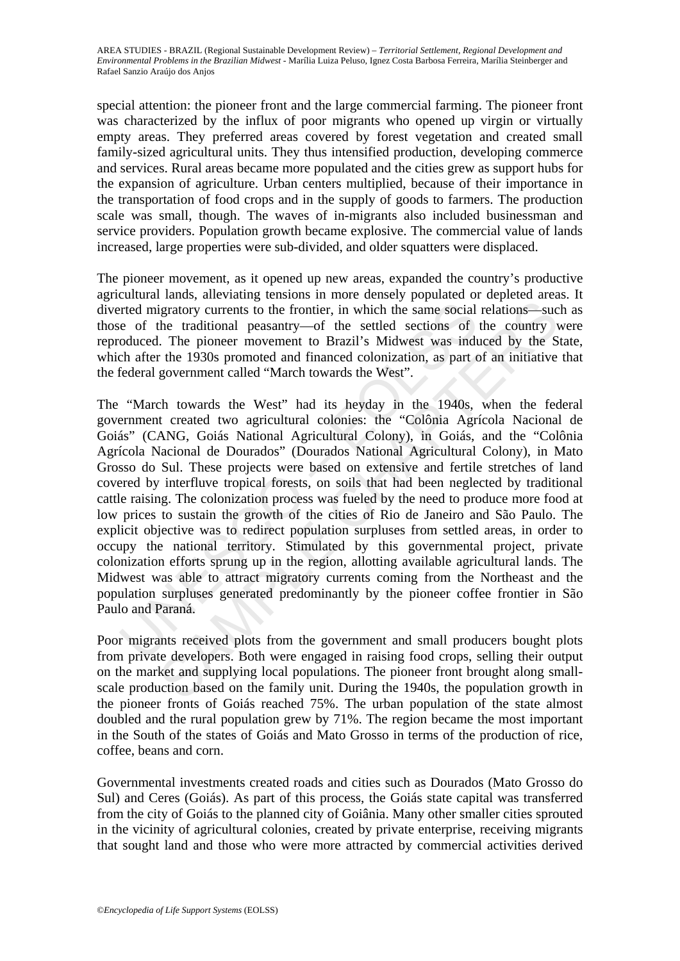special attention: the pioneer front and the large commercial farming. The pioneer front was characterized by the influx of poor migrants who opened up virgin or virtually empty areas. They preferred areas covered by forest vegetation and created small family-sized agricultural units. They thus intensified production, developing commerce and services. Rural areas became more populated and the cities grew as support hubs for the expansion of agriculture. Urban centers multiplied, because of their importance in the transportation of food crops and in the supply of goods to farmers. The production scale was small, though. The waves of in-migrants also included businessman and service providers. Population growth became explosive. The commercial value of lands increased, large properties were sub-divided, and older squatters were displaced.

The pioneer movement, as it opened up new areas, expanded the country's productive agricultural lands, alleviating tensions in more densely populated or depleted areas. It diverted migratory currents to the frontier, in which the same social relations—such as those of the traditional peasantry—of the settled sections of the country were reproduced. The pioneer movement to Brazil's Midwest was induced by the State, which after the 1930s promoted and financed colonization, as part of an initiative that the federal government called "March towards the West".

red migratory currents to the frontier, in which the same social<br>e of the traditional peasantry—of the settled sections of<br>oduced. The pioneer movement to Brazil's Midwest was indu<br>ch after the 1930s promoted and financed igratory currents to the frontier, in which the same social relations—suc-<br>the traditional peasantry—of the settled sections of the country v<br>I. The pioneer movement to Brazil's Midwest was induced by the S<br>1. The pioneer The "March towards the West" had its heyday in the 1940s, when the federal government created two agricultural colonies: the "Colônia Agrícola Nacional de Goiás" (CANG, Goiás National Agricultural Colony), in Goiás, and the "Colônia Agrícola Nacional de Dourados" (Dourados National Agricultural Colony), in Mato Grosso do Sul. These projects were based on extensive and fertile stretches of land covered by interfluve tropical forests, on soils that had been neglected by traditional cattle raising. The colonization process was fueled by the need to produce more food at low prices to sustain the growth of the cities of Rio de Janeiro and São Paulo. The explicit objective was to redirect population surpluses from settled areas, in order to occupy the national territory. Stimulated by this governmental project, private colonization efforts sprung up in the region, allotting available agricultural lands. The Midwest was able to attract migratory currents coming from the Northeast and the population surpluses generated predominantly by the pioneer coffee frontier in São Paulo and Paraná.

Poor migrants received plots from the government and small producers bought plots from private developers. Both were engaged in raising food crops, selling their output on the market and supplying local populations. The pioneer front brought along smallscale production based on the family unit. During the 1940s, the population growth in the pioneer fronts of Goiás reached 75%. The urban population of the state almost doubled and the rural population grew by 71%. The region became the most important in the South of the states of Goiás and Mato Grosso in terms of the production of rice, coffee, beans and corn.

Governmental investments created roads and cities such as Dourados (Mato Grosso do Sul) and Ceres (Goiás). As part of this process, the Goiás state capital was transferred from the city of Goiás to the planned city of Goiânia. Many other smaller cities sprouted in the vicinity of agricultural colonies, created by private enterprise, receiving migrants that sought land and those who were more attracted by commercial activities derived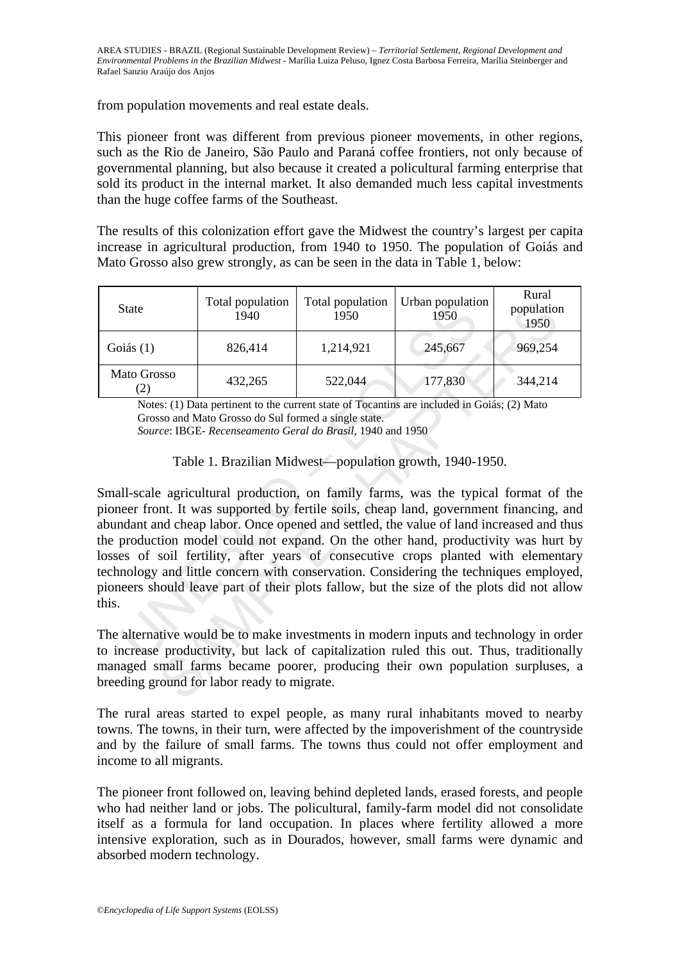from population movements and real estate deals.

This pioneer front was different from previous pioneer movements, in other regions, such as the Rio de Janeiro, São Paulo and Paraná coffee frontiers, not only because of governmental planning, but also because it created a policultural farming enterprise that sold its product in the internal market. It also demanded much less capital investments than the huge coffee farms of the Southeast.

The results of this colonization effort gave the Midwest the country's largest per capita increase in agricultural production, from 1940 to 1950. The population of Goiás and Mato Grosso also grew strongly, as can be seen in the data in Table 1, below:

| <b>State</b>                     | Total population<br>1940 | Total population<br>1950 | Urban population<br>1950 | Rural<br>population<br>1950 |
|----------------------------------|--------------------------|--------------------------|--------------------------|-----------------------------|
| Goiás $(1)$                      | 826,414                  | 1,214,921                | 245,667                  | 969,254                     |
| Mato Grosso<br>$\left( 2\right)$ | 432,265                  | 522,044                  | 177,830                  | 344,214                     |

Notes: (1) Data pertinent to the current state of Tocantins are included in Goiás; (2) Mato Grosso and Mato Grosso do Sul formed a single state. *Source*: IBGE- *Recenseamento Geral do Brasil*, 1940 and 1950

Table 1. Brazilian Midwest—population growth, 1940-1950.

State<br>
1940 100 100 100 100 100 100 1950<br>
1950 1950<br>
1950 1950 1950<br>
1950 1950 1950<br>
1960 1950 1950<br>
1960 1960 1976 1980<br>
1960 1976 1980<br>
226,414 1,214,921 245,667<br>
22,044 177,830<br>
Notes: (1) Data pertinent to the current Total population Total population Urban population 1950 1950 1960 1976 1990<br>
826,414 1,214,921 245,667 969,254<br>
SESC 1114 1,214,921 245,667 969,254<br>
SESC 1115 Data pertient to the current state of Tocantins are included in Small-scale agricultural production, on family farms, was the typical format of the pioneer front. It was supported by fertile soils, cheap land, government financing, and abundant and cheap labor. Once opened and settled, the value of land increased and thus the production model could not expand. On the other hand, productivity was hurt by losses of soil fertility, after years of consecutive crops planted with elementary technology and little concern with conservation. Considering the techniques employed, pioneers should leave part of their plots fallow, but the size of the plots did not allow this.

The alternative would be to make investments in modern inputs and technology in order to increase productivity, but lack of capitalization ruled this out. Thus, traditionally managed small farms became poorer, producing their own population surpluses, a breeding ground for labor ready to migrate.

The rural areas started to expel people, as many rural inhabitants moved to nearby towns. The towns, in their turn, were affected by the impoverishment of the countryside and by the failure of small farms. The towns thus could not offer employment and income to all migrants.

The pioneer front followed on, leaving behind depleted lands, erased forests, and people who had neither land or jobs. The policultural, family-farm model did not consolidate itself as a formula for land occupation. In places where fertility allowed a more intensive exploration, such as in Dourados, however, small farms were dynamic and absorbed modern technology.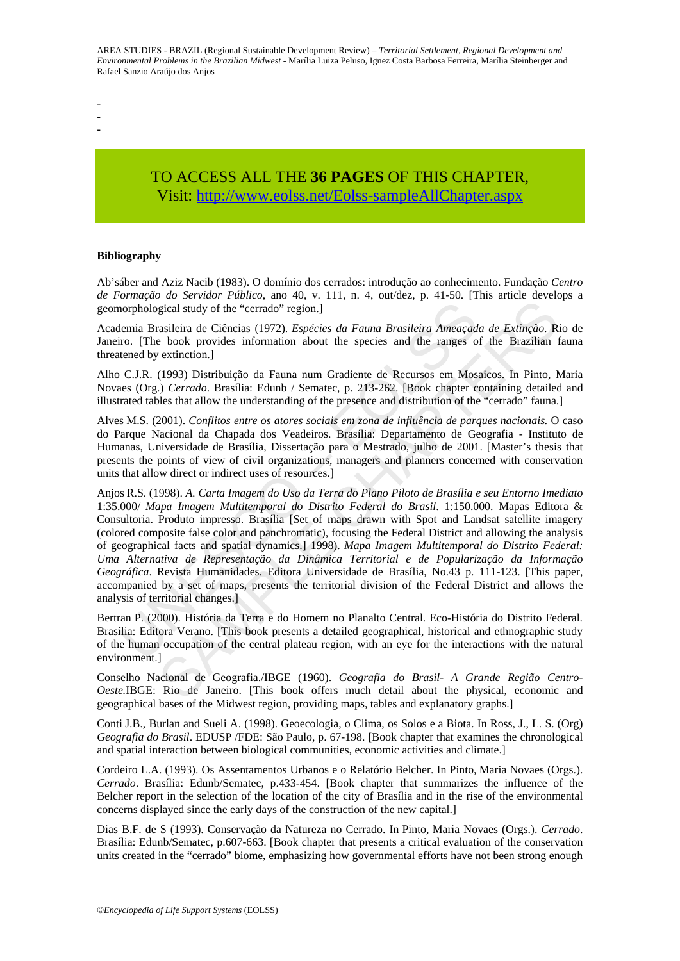- -
- -

# TO ACCESS ALL THE **36 PAGES** OF THIS CHAPTER, Visit: [http://www.eolss.net/Eolss-sampleAllChapter.aspx](https://www.eolss.net/ebooklib/sc_cart.aspx?File=E1-58-45)

#### **Bibliography**

Ab'sáber and Aziz Nacib (1983). O domínio dos cerrados: introdução ao conhecimento. Fundação *Centro de Formação do Servidor Público*, ano 40, v. 111, n. 4, out/dez, p. 41-50. [This article develops a geomorphological study of the "cerrado" region.]

Academia Brasileira de Ciências (1972). *Espécies da Fauna Brasileira Ameaçada de Extinção*. Rio de Janeiro. [The book provides information about the species and the ranges of the Brazilian fauna threatened by extinction.]

Alho C.J.R. (1993) Distribuição da Fauna num Gradiente de Recursos em Mosaicos. In Pinto, Maria Novaes (Org.) *Cerrado*. Brasília: Edunb / Sematec, p. 213-262. [Book chapter containing detailed and illustrated tables that allow the understanding of the presence and distribution of the "cerrado" fauna.]

Alves M.S. (2001). *Conflitos entre os atores sociais em zona de influência de parques nacionais.* O caso do Parque Nacional da Chapada dos Veadeiros. Brasília: Departamento de Geografia - Instituto de Humanas, Universidade de Brasília, Dissertação para o Mestrado, julho de 2001. [Master's thesis that presents the points of view of civil organizations, managers and planners concerned with conservation units that allow direct or indirect uses of resources.]

norphological study of the "cerrado" region.]<br>
lemia Brasileira de Ciências (1972). *Espécies da Fauna Brasileira Ameaçadiro*. [The book provides information about the species and the ranges of C.J.R. (1993) Distribuição d From the theoretic steps and planners and planners of the Federal Distrito Federal Studies and the conditional de Geografia (1972). *Espécies da Fauna Brasileira Ameaçada de Extinção*. Re book provides information about t Anjos R.S. (1998). *A. Carta Imagem do Uso da Terra do Plano Piloto de Brasília e seu Entorno Imediato* 1:35.000/ *Mapa Imagem Multitemporal do Distrito Federal do Brasil*. 1:150.000. Mapas Editora & Consultoria. Produto impresso. Brasília [Set of maps drawn with Spot and Landsat satellite imagery (colored composite false color and panchromatic), focusing the Federal District and allowing the analysis of geographical facts and spatial dynamics.] 1998). *Mapa Imagem Multitemporal do Distrito Federal: Uma Alternativa de Representação da Dinâmica Territorial e de Popularização da Informação Geográfica*. Revista Humanidades. Editora Universidade de Brasília, No.43 p. 111-123. [This paper, accompanied by a set of maps, presents the territorial division of the Federal District and allows the analysis of territorial changes.]

Bertran P. (2000). História da Terra e do Homem no Planalto Central. Eco-História do Distrito Federal. Brasília: Editora Verano. [This book presents a detailed geographical, historical and ethnographic study of the human occupation of the central plateau region, with an eye for the interactions with the natural environment.]

Conselho Nacional de Geografia./IBGE (1960). *Geografia do Brasil- A Grande Região Centro-Oeste.*IBGE: Rio de Janeiro. [This book offers much detail about the physical, economic and geographical bases of the Midwest region, providing maps, tables and explanatory graphs.]

Conti J.B., Burlan and Sueli A. (1998). Geoecologia, o Clima, os Solos e a Biota. In Ross, J., L. S. (Org) *Geografia do Brasil*. EDUSP /FDE: São Paulo, p. 67-198. [Book chapter that examines the chronological and spatial interaction between biological communities, economic activities and climate.]

Cordeiro L.A. (1993). Os Assentamentos Urbanos e o Relatório Belcher. In Pinto, Maria Novaes (Orgs.). *Cerrado*. Brasília: Edunb/Sematec, p.433-454. [Book chapter that summarizes the influence of the Belcher report in the selection of the location of the city of Brasília and in the rise of the environmental concerns displayed since the early days of the construction of the new capital.]

Dias B.F. de S (1993). Conservação da Natureza no Cerrado. In Pinto, Maria Novaes (Orgs.). *Cerrado*. Brasília: Edunb/Sematec, p.607-663. [Book chapter that presents a critical evaluation of the conservation units created in the "cerrado" biome, emphasizing how governmental efforts have not been strong enough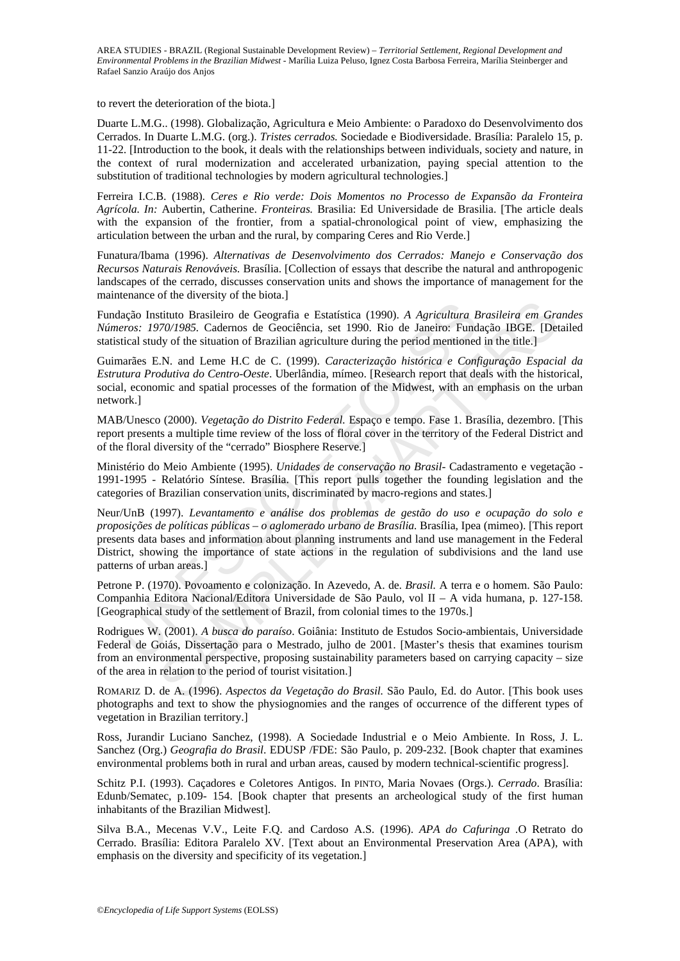to revert the deterioration of the biota.]

Duarte L.M.G.. (1998). Globalização, Agricultura e Meio Ambiente: o Paradoxo do Desenvolvimento dos Cerrados. In Duarte L.M.G. (org.). *Tristes cerrados.* Sociedade e Biodiversidade. Brasília: Paralelo 15, p. 11-22. [Introduction to the book, it deals with the relationships between individuals, society and nature, in the context of rural modernization and accelerated urbanization, paying special attention to the substitution of traditional technologies by modern agricultural technologies.]

Ferreira I.C.B. (1988). *Ceres e Rio verde: Dois Momentos no Processo de Expansão da Fronteira Agrícola. In:* Aubertin, Catherine. *Fronteiras.* Brasilia: Ed Universidade de Brasilia. [The article deals with the expansion of the frontier, from a spatial-chronological point of view, emphasizing the articulation between the urban and the rural, by comparing Ceres and Rio Verde.]

Funatura/Ibama (1996). *Alternativas de Desenvolvimento dos Cerrados: Manejo e Conservação dos Recursos Naturais Renováveis.* Brasília. [Collection of essays that describe the natural and anthropogenic landscapes of the cerrado, discusses conservation units and shows the importance of management for the maintenance of the diversity of the biota.]

Fundação Instituto Brasileiro de Geografia e Estatística (1990). *A Agricultura Brasileira em Grandes Números: 1970/1985.* Cadernos de Geociência, set 1990. Rio de Janeiro: Fundação IBGE. [Detailed statistical study of the situation of Brazilian agriculture during the period mentioned in the title.]

Guimarães E.N. and Leme H.C de C. (1999). *Caracterização histórica e Configuração Espacial da Estrutura Produtiva do Centro-Oeste*. Uberlândia, mímeo. [Research report that deals with the historical, social, economic and spatial processes of the formation of the Midwest, with an emphasis on the urban network.]

MAB/Unesco (2000). *Vegetação do Distrito Federal.* Espaço e tempo. Fase 1. Brasília, dezembro. [This report presents a multiple time review of the loss of floral cover in the territory of the Federal District and of the floral diversity of the "cerrado" Biosphere Reserve.]

Ministério do Meio Ambiente (1995). *Unidades de conservação no Brasil-* Cadastramento e vegetação - 1991-1995 - Relatório Síntese. Brasília. [This report pulls together the founding legislation and the categories of Brazilian conservation units, discriminated by macro-regions and states.]

lação Instituto Brasileiro de Geografia e Estatística (1990). A Agricultura E<br>eros: 1970/1985. Cademos de Geociência, set 1990. Rio de Janeiro: Fund<br>tical study of the situation of Brazilian agriculture during the period stituto Brasileiro de Geografia e Estatística (1990). A Agricultura Brasileira em Gro70/1985. Cadernos de Geociência, set 1990. Rio de Janeiro: Fundação IBGE. [Det dy of the situation of Brazilian agriculture during the p Neur/UnB (1997). *Levantamento e análise dos problemas de gestão do uso e ocupação do solo e proposições de políticas públicas – o aglomerado urbano de Brasília.* Brasília, Ipea (mimeo). [This report presents data bases and information about planning instruments and land use management in the Federal District, showing the importance of state actions in the regulation of subdivisions and the land use patterns of urban areas.]

Petrone P. (1970). Povoamento e colonização. In Azevedo, A. de. *Brasil.* A terra e o homem. São Paulo: Companhia Editora Nacional/Editora Universidade de São Paulo, vol II – A vida humana, p. 127-158. [Geographical study of the settlement of Brazil, from colonial times to the 1970s.]

Rodrigues W. (2001). *A busca do paraíso*. Goiânia: Instituto de Estudos Socio-ambientais, Universidade Federal de Goiás, Dissertação para o Mestrado, julho de 2001. [Master's thesis that examines tourism from an environmental perspective, proposing sustainability parameters based on carrying capacity – size of the area in relation to the period of tourist visitation.]

ROMARIZ D. de A. (1996). *Aspectos da Vegetação do Brasil.* São Paulo, Ed. do Autor. [This book uses photographs and text to show the physiognomies and the ranges of occurrence of the different types of vegetation in Brazilian territory.]

Ross, Jurandir Luciano Sanchez, (1998). A Sociedade Industrial e o Meio Ambiente. In Ross, J. L. Sanchez (Org.) *Geografia do Brasil*. EDUSP /FDE: São Paulo, p. 209-232. [Book chapter that examines environmental problems both in rural and urban areas, caused by modern technical-scientific progress].

Schitz P.I. (1993). Caçadores e Coletores Antigos. In PINTO, Maria Novaes (Orgs.). *Cerrado*. Brasília: Edunb/Sematec, p.109- 154. [Book chapter that presents an archeological study of the first human inhabitants of the Brazilian Midwest].

Silva B.A., Mecenas V.V., Leite F.Q. and Cardoso A.S. (1996). *APA do Cafuringa .*O Retrato do Cerrado. Brasília: Editora Paralelo XV. [Text about an Environmental Preservation Area (APA), with emphasis on the diversity and specificity of its vegetation.]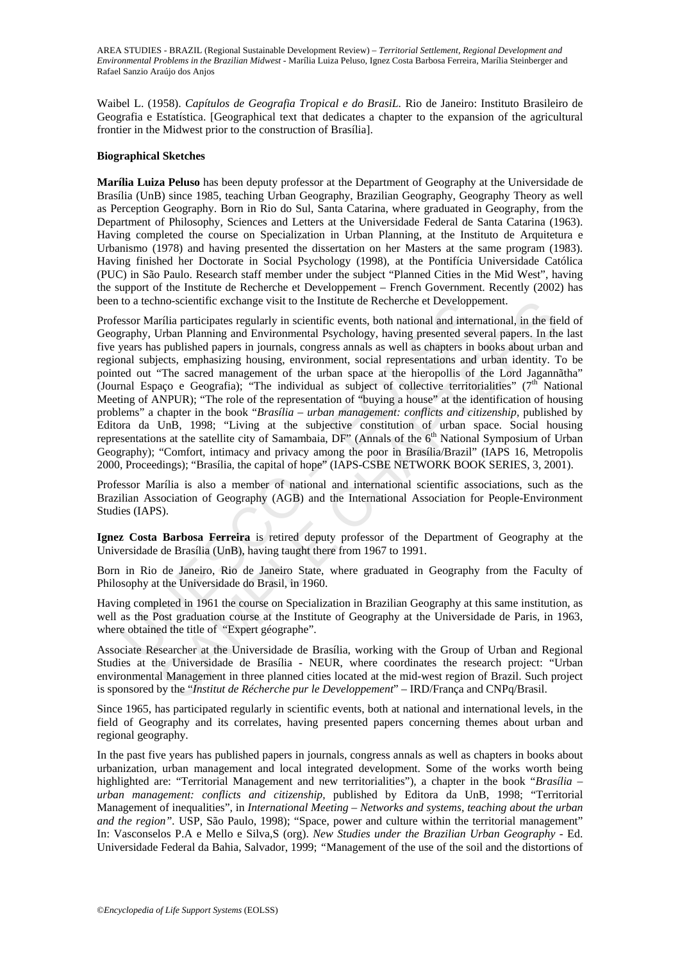Waibel L. (1958). *Capítulos de Geografia Tropical e do BrasiL.* Rio de Janeiro: Instituto Brasileiro de Geografia e Estatística. [Geographical text that dedicates a chapter to the expansion of the agricultural frontier in the Midwest prior to the construction of Brasília].

#### **Biographical Sketches**

**Marília Luiza Peluso** has been deputy professor at the Department of Geography at the Universidade de Brasília (UnB) since 1985, teaching Urban Geography, Brazilian Geography, Geography Theory as well as Perception Geography. Born in Rio do Sul, Santa Catarina, where graduated in Geography, from the Department of Philosophy, Sciences and Letters at the Universidade Federal de Santa Catarina (1963). Having completed the course on Specialization in Urban Planning, at the Instituto de Arquitetura e Urbanismo (1978) and having presented the dissertation on her Masters at the same program (1983). Having finished her Doctorate in Social Psychology (1998), at the Pontifícia Universidade Católica (PUC) in São Paulo. Research staff member under the subject "Planned Cities in the Mid West", having the support of the Institute de Recherche et Developpement – French Government. Recently (2002) has been to a techno-scientific exchange visit to the Institute de Recherche et Developpement.

to a tecnno-scientific exchange visit to the institute de Recherche et Developpessor Marilia participates regularly in scientific events, both national and interest<br>praphy, Urban Planning and Environmental Psychology, havi nno-scientific exchange visit to the Institute de Recherche et Developpement.<br>
furfilia participates regularly in scientific events, both national and international, in the field<br>
furfing and Environmental Psychology, hav Professor Marília participates regularly in scientific events, both national and international, in the field of Geography, Urban Planning and Environmental Psychology, having presented several papers. In the last five years has published papers in journals, congress annals as well as chapters in books about urban and regional subjects, emphasizing housing, environment, social representations and urban identity. To be pointed out "The sacred management of the urban space at the hieropollis of the Lord Jagannãtha" (Journal Espaço e Geografia); "The individual as subject of collective territorialities" ( $7<sup>th</sup>$  National Meeting of ANPUR); "The role of the representation of "buying a house" at the identification of housing problems" a chapter in the book "*Brasília – urban management: conflicts and citizenship,* published by Editora da UnB, 1998; "Living at the subjective constitution of urban space. Social housing representations at the satellite city of Samambaia, DF" (Annals of the 6<sup>th</sup> National Symposium of Urban Geography); "Comfort, intimacy and privacy among the poor in Brasília/Brazil" (IAPS 16, Metropolis 2000, Proceedings); "Brasília, the capital of hope" (IAPS-CSBE NETWORK BOOK SERIES, 3, 2001).

Professor Marília is also a member of national and international scientific associations, such as the Brazilian Association of Geography (AGB) and the International Association for People-Environment Studies (IAPS).

**Ignez Costa Barbosa Ferreira** is retired deputy professor of the Department of Geography at the Universidade de Brasília (UnB), having taught there from 1967 to 1991.

Born in Rio de Janeiro, Rio de Janeiro State, where graduated in Geography from the Faculty of Philosophy at the Universidade do Brasil, in 1960.

Having completed in 1961 the course on Specialization in Brazilian Geography at this same institution, as well as the Post graduation course at the Institute of Geography at the Universidade de Paris, in 1963, where obtained the title of "Expert géographe".

Associate Researcher at the Universidade de Brasília, working with the Group of Urban and Regional Studies at the Universidade de Brasília - NEUR, where coordinates the research project: "Urban environmental Management in three planned cities located at the mid-west region of Brazil. Such project is sponsored by the "*Institut de Récherche pur le Developpement*" – IRD/França and CNPq/Brasil.

Since 1965, has participated regularly in scientific events, both at national and international levels, in the field of Geography and its correlates, having presented papers concerning themes about urban and regional geography.

In the past five years has published papers in journals, congress annals as well as chapters in books about urbanization, urban management and local integrated development. Some of the works worth being highlighted are: "Territorial Management and new territorialities")*,* a chapter in the book "*Brasília – urban management: conflicts and citizenship,* published by Editora da UnB, 1998; "Territorial Management of inequalities"*,* in *International Meeting – Networks and systems, teaching about the urban and the region".* USP, São Paulo, 1998); "Space, power and culture within the territorial management" In: Vasconselos P.A e Mello e Silva,S (org). *New Studies under the Brazilian Urban Geography* - Ed. Universidade Federal da Bahia, Salvador, 1999; *"*Management of the use of the soil and the distortions of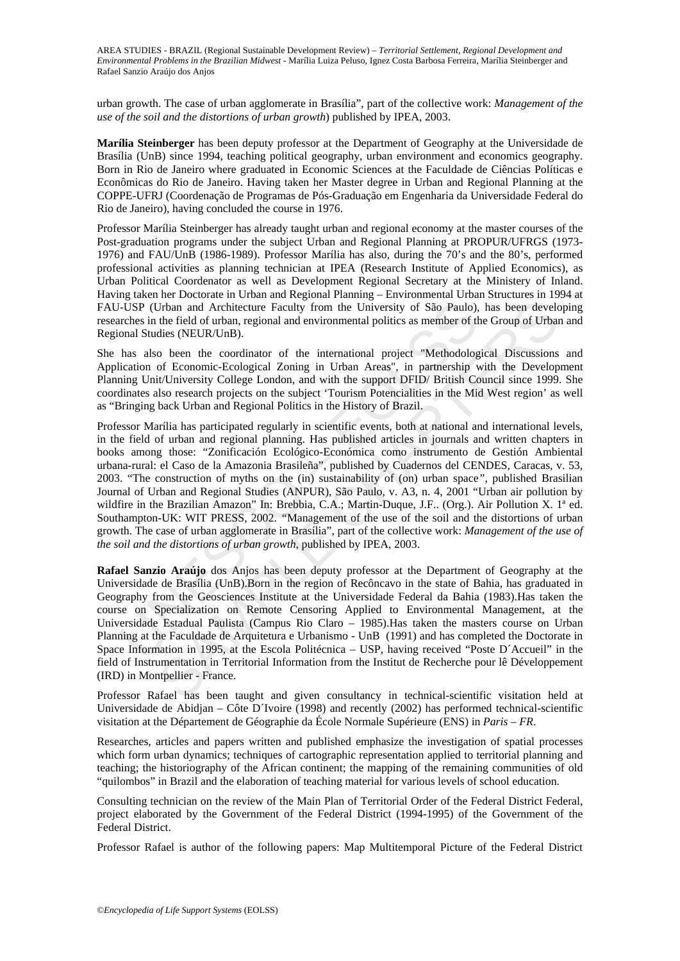urban growth. The case of urban agglomerate in Brasília", part of the collective work: *Management of the use of the soil and the distortions of urban growth*) published by IPEA, 2003.

**Marília Steinberger** has been deputy professor at the Department of Geography at the Universidade de Brasília (UnB) since 1994, teaching political geography, urban environment and economics geography. Born in Rio de Janeiro where graduated in Economic Sciences at the Faculdade de Ciências Políticas e Econômicas do Rio de Janeiro. Having taken her Master degree in Urban and Regional Planning at the COPPE-UFRJ (Coordenação de Programas de Pós-Graduação em Engenharia da Universidade Federal do Rio de Janeiro), having concluded the course in 1976.

Professor Marília Steinberger has already taught urban and regional economy at the master courses of the Post-graduation programs under the subject Urban and Regional Planning at PROPUR/UFRGS (1973- 1976) and FAU/UnB (1986-1989). Professor Marília has also, during the 70's and the 80's, performed professional activities as planning technician at IPEA (Research Institute of Applied Economics), as Urban Political Coordenator as well as Development Regional Secretary at the Ministery of Inland. Having taken her Doctorate in Urban and Regional Planning – Environmental Urban Structures in 1994 at FAU-USP (Urban and Architecture Faculty from the University of São Paulo), has been developing researches in the field of urban, regional and environmental politics as member of the Group of Urban and Regional Studies (NEUR/UnB).

She has also been the coordinator of the international project "Methodological Discussions and Application of Economic-Ecological Zoning in Urban Areas", in partnership with the Development Planning Unit/University College London, and with the support DFID/ British Council since 1999. She coordinates also research projects on the subject 'Tourism Potencialities in the Mid West region' as well as "Bringing back Urban and Regional Politics in the History of Brazil.

-USP (Urban and Architecture Faculty from the University of São Paulo), chords in the field of urban, regional and environmental politics as member of the field of urban, regional and environmental politics as member of t Jrban and Architecture Faculty from the University of São Paulo), has been develocides (NEUR/UnB). Than and Architecture Faculty from the University of São Paulo), has been develocides (NEUR/UnB).<br>
the field of urban, reg Professor Marília has participated regularly in scientific events, both at national and international levels, in the field of urban and regional planning. Has published articles in journals and written chapters in books among those: "Zonificación Ecológico-Económica como instrumento de Gestión Ambiental urbana-rural: el Caso de la Amazonia Brasileña", published by Cuadernos del CENDES, Caracas, v. 53, 2003. "The construction of myths on the (in) sustainability of (on) urban space*",* published Brasilian Journal of Urban and Regional Studies (ANPUR), São Paulo, v. A3, n. 4, 2001 "Urban air pollution by wildfire in the Brazilian Amazon" In: Brebbia, C.A.; Martin-Duque, J.F.. (Org.). Air Pollution X. 1ª ed. Southampton-UK: WIT PRESS, 2002. *"*Management of the use of the soil and the distortions of urban growth. The case of urban agglomerate in Brasília", part of the collective work: *Management of the use of the soil and the distortions of urban growth*, published by IPEA, 2003.

**Rafael Sanzio Araújo** dos Anjos has been deputy professor at the Department of Geography at the Universidade de Brasília (UnB).Born in the region of Recôncavo in the state of Bahia, has graduated in Geography from the Geosciences Institute at the Universidade Federal da Bahia (1983).Has taken the course on Specialization on Remote Censoring Applied to Environmental Management, at the Universidade Estadual Paulista (Campus Rio Claro – 1985).Has taken the masters course on Urban Planning at the Faculdade de Arquitetura e Urbanismo - UnB (1991) and has completed the Doctorate in Space Information in 1995, at the Escola Politécnica – USP, having received "Poste D´Accueil" in the field of Instrumentation in Territorial Information from the Institut de Recherche pour lê Développement (IRD) in Montpellier - France.

Professor Rafael has been taught and given consultancy in technical-scientific visitation held at Universidade de Abidjan – Côte D´Ivoire (1998) and recently (2002) has performed technical-scientific visitation at the Département de Géographie da École Normale Supérieure (ENS) in *Paris – FR*.

Researches, articles and papers written and published emphasize the investigation of spatial processes which form urban dynamics; techniques of cartographic representation applied to territorial planning and teaching; the historiography of the African continent; the mapping of the remaining communities of old "quilombos" in Brazil and the elaboration of teaching material for various levels of school education.

Consulting technician on the review of the Main Plan of Territorial Order of the Federal District Federal, project elaborated by the Government of the Federal District (1994-1995) of the Government of the Federal District.

Professor Rafael is author of the following papers: Map Multitemporal Picture of the Federal District